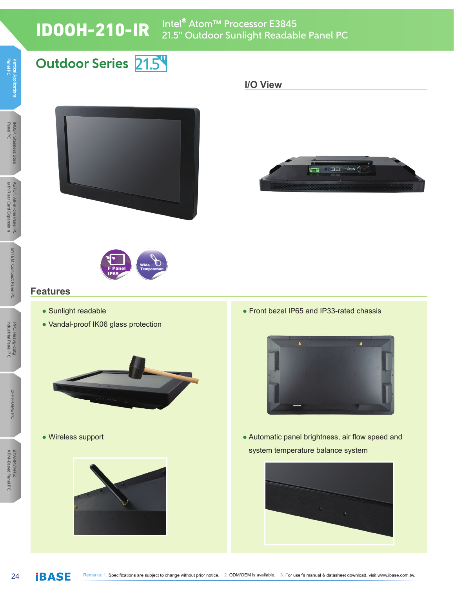21.5 **Outdoor Series**

# IDOOH-210-IR Intel® Atom™ Processor E3845 21.5" Outdoor Sunlight Readable Panel PC

#### **Panel P Vertical Applications C Panel P Vertical Applications C**

# **Panel P C INOSP: Stainless Steel**









#### **Features**

- Sunlight readable
- Vandal-proof IK06 glass protection



● Wireless support



• Front bezel IP65 and IP33-rated chassis



● Automatic panel brightness, air flow speed and system temperature balance system

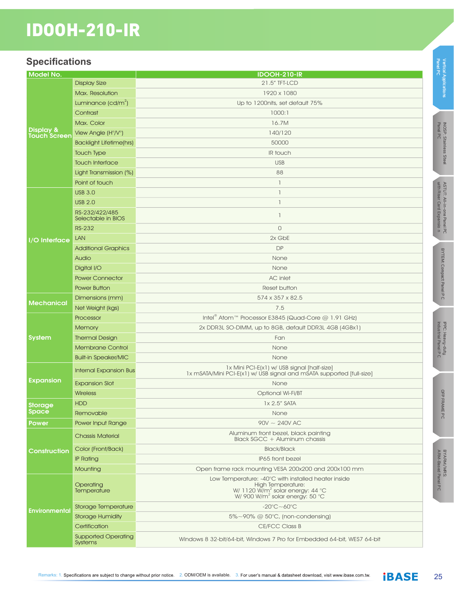# IDOOH-210-IR

#### **Specifications**

| Model No.                 |                                              | <b>IDOOH-210-IR</b>                                                                                                                                                          |
|---------------------------|----------------------------------------------|------------------------------------------------------------------------------------------------------------------------------------------------------------------------------|
| Display &<br>Touch Screen | <b>Display Size</b>                          | 21.5" TFT-LCD                                                                                                                                                                |
|                           | Max. Resolution                              | 1920 x 1080                                                                                                                                                                  |
|                           | Luminance $(cd/m^2)$                         | Up to 1200nits, set default 75%                                                                                                                                              |
|                           | Contrast                                     | 1000:1                                                                                                                                                                       |
|                           | Max. Color                                   | 16.7M                                                                                                                                                                        |
|                           | View Angle (H°/V°)                           | 140/120                                                                                                                                                                      |
|                           | <b>Backlight Lifetime(hrs)</b>               | 50000                                                                                                                                                                        |
|                           | <b>Touch Type</b>                            | IR touch                                                                                                                                                                     |
|                           | <b>Touch Interface</b>                       | <b>USB</b>                                                                                                                                                                   |
|                           | Light Transmission (%)                       | 88                                                                                                                                                                           |
|                           | Point of touch                               | $\mathbb{I}$                                                                                                                                                                 |
|                           | <b>USB 3.0</b>                               | $\mathbb{I}$                                                                                                                                                                 |
|                           | <b>USB 2.0</b>                               | $\mathbb{I}$                                                                                                                                                                 |
| I/O Interface             | RS-232/422/485<br>Selectable in BIOS         | $\mathbb{I}$                                                                                                                                                                 |
|                           | <b>RS-232</b>                                | $\Omega$                                                                                                                                                                     |
|                           | <b>LAN</b>                                   | 2x GbE                                                                                                                                                                       |
|                           | <b>Additional Graphics</b>                   | <b>DP</b>                                                                                                                                                                    |
|                           | Audio                                        | None                                                                                                                                                                         |
|                           | Digital I/O                                  | None                                                                                                                                                                         |
|                           | <b>Power Connector</b>                       | <b>AC</b> inlet                                                                                                                                                              |
|                           | <b>Power Button</b>                          | Reset button                                                                                                                                                                 |
|                           | Dimensions (mm)                              | 574 x 357 x 82.5                                                                                                                                                             |
| <b>Mechanical</b>         | Net Weight (kgs)                             | 7.5                                                                                                                                                                          |
|                           | Processor                                    | Intel <sup>®</sup> Atom <sup>™</sup> Processor E3845 (Quad-Core @ 1.91 GHz)                                                                                                  |
|                           | <b>Memory</b>                                | 2x DDR3L SO-DIMM, up to 8GB, default DDR3L 4GB (4GBx1)                                                                                                                       |
| System                    | <b>Thermal Design</b>                        | Fan                                                                                                                                                                          |
|                           | <b>Membrane Control</b>                      | None                                                                                                                                                                         |
|                           | <b>Built-in Speaker/MIC</b>                  | None                                                                                                                                                                         |
| Expansion                 | <b>Internal Expansion Bus</b>                | 1x Mini PCI-E(x1) w/ USB signal [half-size]<br>1x mSATA/Mini PCI-E(x1) w/ USB signal and mSATA supported [full-size]                                                         |
|                           | <b>Expansion Slot</b>                        | None                                                                                                                                                                         |
|                           | <b>Wireless</b>                              | Optional Wi-Fi/BT                                                                                                                                                            |
| Storage<br><b>Space</b>   | <b>HDD</b>                                   | 1x 2.5" SATA                                                                                                                                                                 |
|                           | Removable                                    | None                                                                                                                                                                         |
| <b>Power</b>              | Power Input Range                            | $90V \sim 240V$ AC                                                                                                                                                           |
| Construction              | <b>Chassis Material</b>                      | Aluminum front bezel, black painting<br>Black SGCC + Aluminum chassis                                                                                                        |
|                           | Color (Front/Back)                           | <b>Black/Black</b>                                                                                                                                                           |
|                           | <b>IP Rating</b>                             | IP65 front bezel                                                                                                                                                             |
|                           | Mounting                                     | Open frame rack mounting VESA 200x200 and 200x100 mm                                                                                                                         |
| Environmental             | Operating<br><b>Temperature</b>              | Low Temperature: -40°C with installed heater inside<br><b>High Temperature:</b><br>W/ 1120 $\text{W/m}^2$ solar energy: 44 °C<br>W/ 900 W/m <sup>2</sup> solar energy: 50 °C |
|                           | Storage Temperature                          | $-20^{\circ}$ C $\sim$ 60 $^{\circ}$ C                                                                                                                                       |
|                           | <b>Storage Humidity</b>                      | $5\% \sim 90\%$ @ $50^{\circ}$ C, (non-condensing)                                                                                                                           |
|                           | Certification                                | CE/FCC Class B                                                                                                                                                               |
|                           | <b>Supported Operating</b><br><b>Systems</b> | Windows 8 32-bit/64-bit, Windows 7 Pro for Embedded 64-bit, WES7 64-bit                                                                                                      |

**Panel P C**